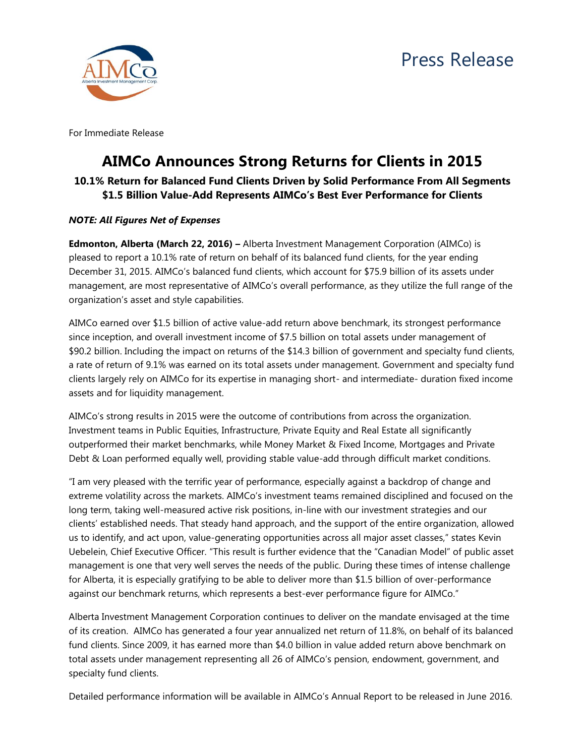



For Immediate Release

## **AIMCo Announces Strong Returns for Clients in 2015**

## **10.1% Return for Balanced Fund Clients Driven by Solid Performance From All Segments \$1.5 Billion Value-Add Represents AIMCo's Best Ever Performance for Clients**

## *NOTE: All Figures Net of Expenses*

**Edmonton, Alberta (March 22, 2016) –** Alberta Investment Management Corporation (AIMCo) is pleased to report a 10.1% rate of return on behalf of its balanced fund clients, for the year ending December 31, 2015. AIMCo's balanced fund clients, which account for \$75.9 billion of its assets under management, are most representative of AIMCo's overall performance, as they utilize the full range of the organization's asset and style capabilities.

AIMCo earned over \$1.5 billion of active value-add return above benchmark, its strongest performance since inception, and overall investment income of \$7.5 billion on total assets under management of \$90.2 billion. Including the impact on returns of the \$14.3 billion of government and specialty fund clients, a rate of return of 9.1% was earned on its total assets under management. Government and specialty fund clients largely rely on AIMCo for its expertise in managing short- and intermediate- duration fixed income assets and for liquidity management.

AIMCo's strong results in 2015 were the outcome of contributions from across the organization. Investment teams in Public Equities, Infrastructure, Private Equity and Real Estate all significantly outperformed their market benchmarks, while Money Market & Fixed Income, Mortgages and Private Debt & Loan performed equally well, providing stable value-add through difficult market conditions.

"I am very pleased with the terrific year of performance, especially against a backdrop of change and extreme volatility across the markets. AIMCo's investment teams remained disciplined and focused on the long term, taking well-measured active risk positions, in-line with our investment strategies and our clients' established needs. That steady hand approach, and the support of the entire organization, allowed us to identify, and act upon, value-generating opportunities across all major asset classes," states Kevin Uebelein, Chief Executive Officer. "This result is further evidence that the "Canadian Model" of public asset management is one that very well serves the needs of the public. During these times of intense challenge for Alberta, it is especially gratifying to be able to deliver more than \$1.5 billion of over-performance against our benchmark returns, which represents a best-ever performance figure for AIMCo."

Alberta Investment Management Corporation continues to deliver on the mandate envisaged at the time of its creation. AIMCo has generated a four year annualized net return of 11.8%, on behalf of its balanced fund clients. Since 2009, it has earned more than \$4.0 billion in value added return above benchmark on total assets under management representing all 26 of AIMCo's pension, endowment, government, and specialty fund clients.

Detailed performance information will be available in AIMCo's Annual Report to be released in June 2016.